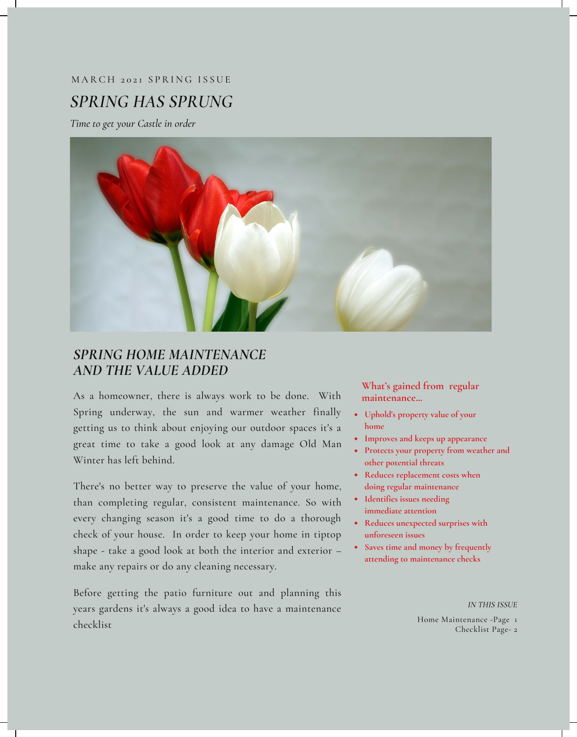# *SPRING HAS SPRUNG* MARCH 2021 SPRING ISSUE

*Time to get your Castle in order*



### *SPRING HOME MAINTENANCE AND THE VALUE ADDED*

As a homeowner, there is always work to be done. With Spring underway, the sun and warmer weather finally getting us to think about enjoying our outdoor spaces it's a great time to take a good look at any damage Old Man Winter has left behind.

There's no better way to preserve the value of your home, than completing regular, consistent maintenance. So with every changing season it's a good time to do a thorough check of your house. In order to keep your home in tiptop shape - take a good look at both the interior and exterior – make any repairs or do any cleaning necessary.

Before getting the patio furniture out and planning this years gardens it's always a good idea to have a maintenance checklist

**What's gained from regular maintenance...**

- **Uphold's property value of your home**
- **Improves and keeps up appearance**
- **Protects your property from weather and other potential threats**
- **Reduces replacement costs when doing regular maintenance**
- **Identifies issues needing immediate attention**
- **Reduces unexpected surprises with unforeseen issues**
- **Saves time and money by frequently attending to maintenance checks**

*IN THIS ISSUE*

Home Maintenance -Page 1 Checklist Page- 2